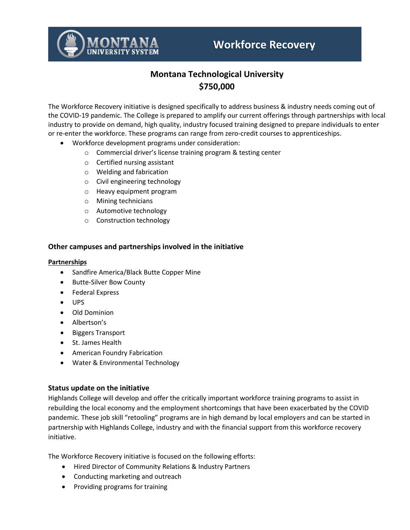

# **Workforce Recovery**

# **Montana Technological University \$750,000**

The Workforce Recovery initiative is designed specifically to address business & industry needs coming out of the COVID-19 pandemic. The College is prepared to amplify our current offerings through partnerships with local industry to provide on demand, high quality, industry focused training designed to prepare individuals to enter or re-enter the workforce. These programs can range from zero-credit courses to apprenticeships.

- Workforce development programs under consideration:
	- o Commercial driver's license training program & testing center
	- o Certified nursing assistant
	- o Welding and fabrication
	- o Civil engineering technology
	- o Heavy equipment program
	- o Mining technicians
	- o Automotive technology
	- o Construction technology

#### **Other campuses and partnerships involved in the initiative**

#### **Partnerships**

- Sandfire America/Black Butte Copper Mine
- Butte-Silver Bow County
- Federal Express
- UPS
- Old Dominion
- Albertson's
- Biggers Transport
- St. James Health
- American Foundry Fabrication
- Water & Environmental Technology

#### **Status update on the initiative**

Highlands College will develop and offer the critically important workforce training programs to assist in rebuilding the local economy and the employment shortcomings that have been exacerbated by the COVID pandemic. These job skill "retooling" programs are in high demand by local employers and can be started in partnership with Highlands College, industry and with the financial support from this workforce recovery initiative.

The Workforce Recovery initiative is focused on the following efforts:

- Hired Director of Community Relations & Industry Partners
- Conducting marketing and outreach
- Providing programs for training